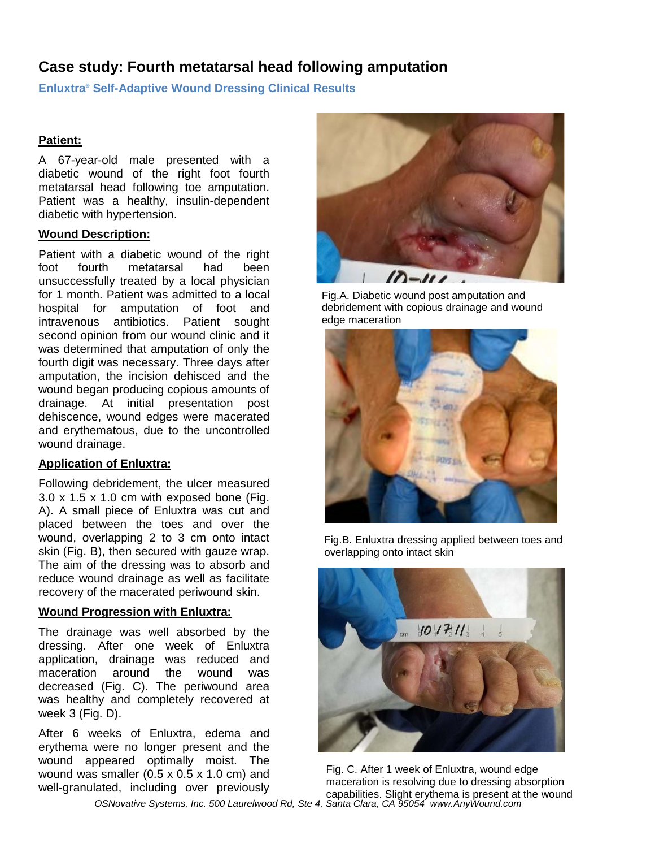# **Case study: Fourth metatarsal head following amputation**

**Enluxtra® Self-Adaptive Wound Dressing Clinical Results**

## **Patient:**

A 67-year-old male presented with a diabetic wound of the right foot fourth metatarsal head following toe amputation. Patient was a healthy, insulin-dependent diabetic with hypertension.

### **Wound Description:**

Patient with a diabetic wound of the right foot fourth metatarsal had been unsuccessfully treated by a local physician for 1 month. Patient was admitted to a local hospital for amputation of foot and intravenous antibiotics. Patient sought second opinion from our wound clinic and it was determined that amputation of only the fourth digit was necessary. Three days after amputation, the incision dehisced and the wound began producing copious amounts of drainage. At initial presentation post dehiscence, wound edges were macerated and erythematous, due to the uncontrolled wound drainage.

## **Application of Enluxtra:**

Following debridement, the ulcer measured 3.0 x 1.5 x 1.0 cm with exposed bone (Fig. A). A small piece of Enluxtra was cut and placed between the toes and over the wound, overlapping 2 to 3 cm onto intact skin (Fig. B), then secured with gauze wrap. The aim of the dressing was to absorb and reduce wound drainage as well as facilitate recovery of the macerated periwound skin.

### **Wound Progression with Enluxtra:**

The drainage was well absorbed by the dressing. After one week of Enluxtra application, drainage was reduced and maceration around the wound was decreased (Fig. C). The periwound area was healthy and completely recovered at week 3 (Fig. D).

After 6 weeks of Enluxtra, edema and erythema were no longer present and the wound appeared optimally moist. The wound was smaller (0.5 x 0.5 x 1.0 cm) and well-granulated, including over previously



Fig.A. Diabetic wound post amputation and debridement with copious drainage and wound edge maceration



Fig.B. Enluxtra dressing applied between toes and overlapping onto intact skin



Fig. C. After 1 week of Enluxtra, wound edge maceration is resolving due to dressing absorption capabilities. Slight erythema is present at the wound

*OSNovative Systems, Inc. 500 Laurelwood Rd, Ste 4, Santa Clara, CA 95054 www.AnyWound.com*